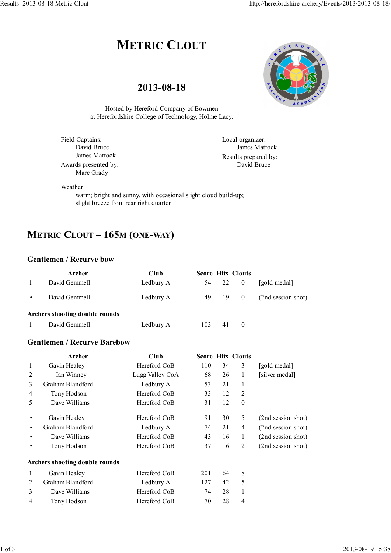# **METRIC CLOUT**

### 2013-08-18



Hosted by Hereford Company of Bowmen at Herefordshire College of Technology, Holme Lacy.

| Field Captains:                    | Local organizer:     |
|------------------------------------|----------------------|
| David Bruce                        | James Mattock        |
| James Mattock                      | Results prepared by: |
| Awards presented by:<br>Marc Grady | David Bruce          |
|                                    |                      |

Weather:

warm; bright and sunny, with occasional slight cloud build-up; slight breeze from rear right quarter

## **METRIC CLOUT - 165M (ONE-WAY)**

#### **Gentlemen / Recurve bow**

|           | Archer                         | Club      |     |     | <b>Score Hits Clouts</b> |                    |
|-----------|--------------------------------|-----------|-----|-----|--------------------------|--------------------|
|           | David Gemmell                  | Ledbury A | 54  | 22  | $\theta$                 | [gold medal]       |
| $\bullet$ | David Gemmell                  | Ledbury A | 49  | -19 | $\theta$                 | (2nd session shot) |
|           | Archers shooting double rounds |           |     |     |                          |                    |
|           | David Gemmell                  | Ledbury A | 103 | 41  | $\theta$                 |                    |

### **Gentlemen / Recurve Barebow**

|                | Archer                         | Club            |     |    | <b>Score Hits Clouts</b> |                    |
|----------------|--------------------------------|-----------------|-----|----|--------------------------|--------------------|
| $\mathbf{1}$   | Gavin Healey                   | Hereford CoB    | 110 | 34 | 3                        | [gold medal]       |
| 2              | Ian Winney                     | Lugg Valley CoA | 68  | 26 | 1                        | [silver medal]     |
| 3              | Graham Blandford               | Ledbury A       | 53  | 21 | 1                        |                    |
| 4              | Tony Hodson                    | Hereford CoB    | 33  | 12 | $\overline{2}$           |                    |
| 5              | Dave Williams                  | Hereford CoB    | 31  | 12 | $\mathbf{0}$             |                    |
| ٠              | Gavin Healey                   | Hereford CoB    | 91  | 30 | 5                        | (2nd session shot) |
| ٠              | Graham Blandford               | Ledbury A       | 74  | 21 | $\overline{4}$           | (2nd session shot) |
| $\bullet$      | Dave Williams                  | Hereford CoB    | 43  | 16 | 1                        | (2nd session shot) |
|                | Tony Hodson                    | Hereford CoB    | 37  | 16 | $\overline{2}$           | (2nd session shot) |
|                | Archers shooting double rounds |                 |     |    |                          |                    |
| 1              | Gavin Healey                   | Hereford CoB    | 201 | 64 | 8                        |                    |
| 2              | Graham Blandford               | Ledbury A       | 127 | 42 | 5                        |                    |
| 3              | Dave Williams                  | Hereford CoB    | 74  | 28 | 1                        |                    |
| $\overline{4}$ | Tony Hodson                    | Hereford CoB    | 70  | 28 | 4                        |                    |
|                |                                |                 |     |    |                          |                    |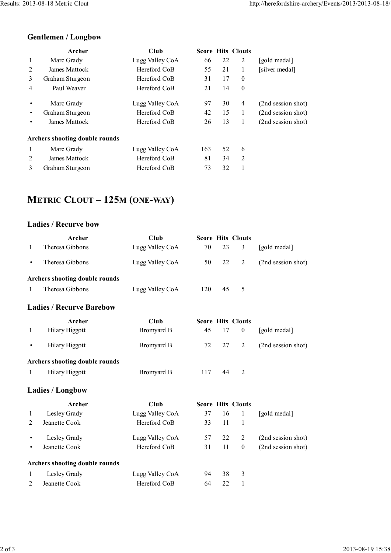### **Gentlemen / Longbow**

| Archer          | Club                                  |     |    |          |                          |
|-----------------|---------------------------------------|-----|----|----------|--------------------------|
| Marc Grady      | Lugg Valley CoA                       | 66  | 22 | 2        | [gold medal]             |
| James Mattock   | Hereford CoB                          | 55  | 21 |          | [silver medal]           |
| Graham Sturgeon | Hereford CoB                          | 31  | 17 | $\theta$ |                          |
| Paul Weaver     | Hereford CoB                          | 21  | 14 | $\theta$ |                          |
| Marc Grady      | Lugg Valley CoA                       | 97  | 30 | 4        | (2nd session shot)       |
| Graham Sturgeon | Hereford CoB                          | 42  | 15 |          | (2nd session shot)       |
| James Mattock   | Hereford CoB                          | 26  | 13 | 1        | (2nd session shot)       |
|                 |                                       |     |    |          |                          |
| Marc Grady      | Lugg Valley CoA                       | 163 | 52 | 6        |                          |
| James Mattock   | Hereford CoB                          | 81  | 34 | 2        |                          |
| Graham Sturgeon | Hereford CoB                          | 73  | 32 |          |                          |
|                 | <b>Archers shooting double rounds</b> |     |    |          | <b>Score Hits Clouts</b> |

## **METRIC CLOUT - 125M (ONE-WAY)**

### **Ladies / Recurve bow**

|              | Archer                                | Club            |     |    | <b>Score Hits Clouts</b> |                    |
|--------------|---------------------------------------|-----------------|-----|----|--------------------------|--------------------|
| $\mathbf{1}$ | Theresa Gibbons                       | Lugg Valley CoA | 70  | 23 | 3                        | [gold medal]       |
| $\bullet$    | Theresa Gibbons                       | Lugg Valley CoA | 50  | 22 | $\overline{2}$           | (2nd session shot) |
|              | <b>Archers shooting double rounds</b> |                 |     |    |                          |                    |
| $\mathbf{1}$ | Theresa Gibbons                       | Lugg Valley CoA | 120 | 45 | 5                        |                    |
|              | <b>Ladies / Recurve Barebow</b>       |                 |     |    |                          |                    |
|              | Archer                                | Club            |     |    | <b>Score Hits Clouts</b> |                    |
| $\mathbf{1}$ | <b>Hilary Higgott</b>                 | Bromyard B      | 45  | 17 | $\boldsymbol{0}$         | [gold medal]       |
| $\bullet$    | <b>Hilary Higgott</b>                 | Bromyard B      | 72  | 27 | $\overline{2}$           | (2nd session shot) |
|              | Archers shooting double rounds        |                 |     |    |                          |                    |
| $\mathbf{1}$ | <b>Hilary Higgott</b>                 | Bromyard B      | 117 | 44 | $\overline{2}$           |                    |
|              | <b>Ladies / Longbow</b>               |                 |     |    |                          |                    |
|              | Archer                                | <b>Club</b>     |     |    | <b>Score Hits Clouts</b> |                    |
| 1            | Lesley Grady                          | Lugg Valley CoA | 37  | 16 | 1                        | [gold medal]       |
| 2            | Jeanette Cook                         | Hereford CoB    | 33  | 11 | 1                        |                    |
|              | Lesley Grady                          | Lugg Valley CoA | 57  | 22 | $\overline{2}$           | (2nd session shot) |
| $\bullet$    | Jeanette Cook                         | Hereford CoB    | 31  | 11 | $\mathbf{0}$             | (2nd session shot) |
|              | Archers shooting double rounds        |                 |     |    |                          |                    |
| $\mathbf{1}$ | Lesley Grady                          | Lugg Valley CoA | 94  | 38 | 3                        |                    |
| 2            | Jeanette Cook                         | Hereford CoB    | 64  | 22 | 1                        |                    |